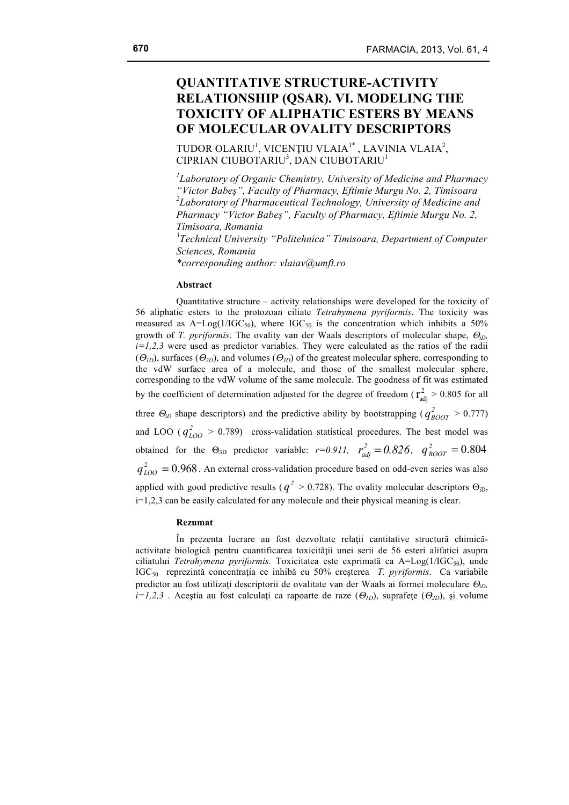# **QUANTITATIVE STRUCTURE-ACTIVITY RELATIONSHIP (QSAR). VI. MODELING THE TOXICITY OF ALIPHATIC ESTERS BY MEANS OF MOLECULAR OVALITY DESCRIPTORS**

TUDOR OLARIU<sup>1</sup>, VICENȚIU VLAIA<sup>1\*</sup>, LAVINIA VLAIA<sup>2</sup>, CIPRIAN CIUBOTARIU<sup>3</sup>, DAN CIUBOTARIU<sup>1</sup>

*1 Laboratory of Organic Chemistry, University of Medicine and Pharmacy "Victor Babeş", Faculty of Pharmacy, Eftimie Murgu No. 2, Timisoara 2 Laboratory of Pharmaceutical Technology, University of Medicine and Pharmacy "Victor Babeş", Faculty of Pharmacy, Eftimie Murgu No. 2, Timisoara, Romania 3 Technical University "Politehnica" Timisoara, Department of Computer Sciences, Romania \*corresponding author: vlaiav@umft.ro*

#### **Abstract**

Quantitative structure – activity relationships were developed for the toxicity of 56 aliphatic esters to the protozoan ciliate *Tetrahymena pyriformis*. The toxicity was measured as  $A = Log(1/IGC_{50})$ , where  $IGC_{50}$  is the concentration which inhibits a 50% growth of *T. pyriformis*. The ovality van der Waals descriptors of molecular shape, Θ*iD,*   $i=1,2,3$  were used as predictor variables. They were calculated as the ratios of the radii (Θ*1D*), surfaces (Θ*2D*), and volumes (Θ*3D*) of the greatest molecular sphere, corresponding to the vdW surface area of a molecule, and those of the smallest molecular sphere, corresponding to the vdW volume of the same molecule. The goodness of fit was estimated by the coefficient of determination adjusted for the degree of freedom ( $r_{\text{adj}}^2 > 0.805$  for all three  $\Theta_{iD}$  shape descriptors) and the predictive ability by bootstrapping ( $q_{BOOT}^2 > 0.777$ ) and LOO  $(q_{LOO}^2 > 0.789)$  cross-validation statistical procedures. The best model was obtained for the  $\Theta_{3D}$  predictor variable:  $r=0.911$ ,  $r_{adj}^2 = 0.826$ ,  $q_{BOOT}^2 = 0.804$  $q_{LOO}^2 = 0.968$ . An external cross-validation procedure based on odd-even series was also applied with good predictive results ( $q^2 > 0.728$ ). The ovality molecular descriptors  $\Theta_{\text{iD}}$ , i=1,2,3 can be easily calculated for any molecule and their physical meaning is clear.

#### **Rezumat**

În prezenta lucrare au fost dezvoltate relaţii cantitative structură chimicăactivitate biologică pentru cuantificarea toxicității unei serii de 56 esteri alifatici asupra ciliatului *Tetrahymena pyriformis*. Toxicitatea este exprimată ca A=Log(1/IGC<sub>50</sub>), unde IGC50 reprezintă concentraţia ce inhibă cu 50% creşterea *T. pyriformis*. Ca variabile predictor au fost utilizaţi descriptorii de ovalitate van der Waals ai formei moleculare Θ*iD,*   $i=1,2,3$ . Acestia au fost calculați ca rapoarte de raze ( $\Theta_{ID}$ ), suprafețe ( $\Theta_{2D}$ ), și volume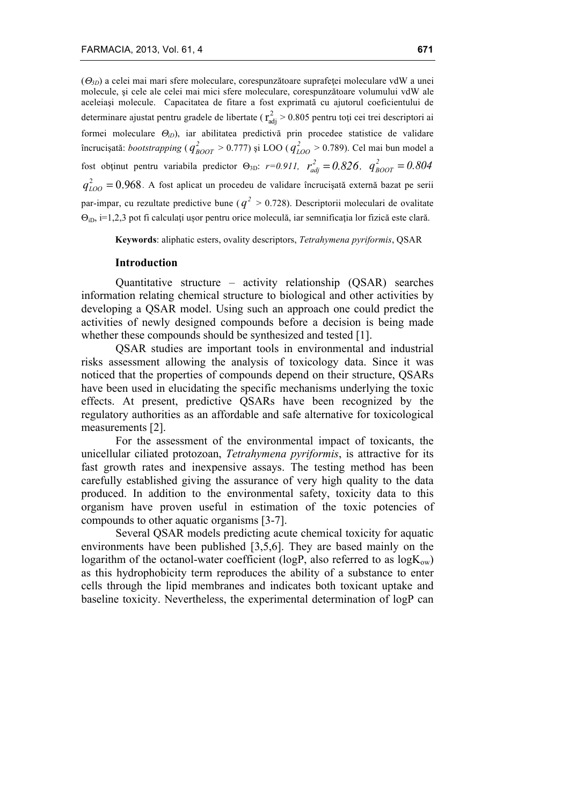( $\Theta_{3D}$ ) a celei mai mari sfere moleculare, corespunzătoare suprafetei moleculare vdW a unei molecule, şi cele ale celei mai mici sfere moleculare, corespunzătoare volumului vdW ale aceleiaşi molecule. Capacitatea de fitare a fost exprimată cu ajutorul coeficientului de determinare ajustat pentru gradele de libertate ( $r_{\text{adj}}^2 > 0.805$  pentru toți cei trei descriptori ai formei moleculare Θ*iD*), iar abilitatea predictivă prin procedee statistice de validare încrucișată: *bootstrapping* ( $q_{\text{BOOT}}^2 > 0.777$ ) și LOO ( $q_{\text{LOO}}^2 > 0.789$ ). Cel mai bun model a fost obținut pentru variabila predictor  $\Theta_{3D}$ : *r*=0.911,  $r_{adj}^2 = 0.826$ ,  $q_{BOOT}^2 = 0.804$  $q_{LOO}^2 = 0.968$ . A fost aplicat un procedeu de validare încrucișată externă bazat pe serii par-impar, cu rezultate predictive bune ( $q^2 > 0.728$ ). Descriptorii moleculari de ovalitate  $\Theta$ <sub>iD</sub>, i=1,2,3 pot fi calculați ușor pentru orice moleculă, iar semnificatia lor fizică este clară.

**Keywords**: aliphatic esters, ovality descriptors, *Tetrahymena pyriformis*, QSAR

#### **Introduction**

Quantitative structure – activity relationship (QSAR) searches information relating chemical structure to biological and other activities by developing a QSAR model. Using such an approach one could predict the activities of newly designed compounds before a decision is being made whether these compounds should be synthesized and tested [1].

QSAR studies are important tools in environmental and industrial risks assessment allowing the analysis of toxicology data. Since it was noticed that the properties of compounds depend on their structure, QSARs have been used in elucidating the specific mechanisms underlying the toxic effects. At present, predictive QSARs have been recognized by the regulatory authorities as an affordable and safe alternative for toxicological measurements [2].

For the assessment of the environmental impact of toxicants, the unicellular ciliated protozoan, *Tetrahymena pyriformis*, is attractive for its fast growth rates and inexpensive assays. The testing method has been carefully established giving the assurance of very high quality to the data produced. In addition to the environmental safety, toxicity data to this organism have proven useful in estimation of the toxic potencies of compounds to other aquatic organisms [3-7].

Several QSAR models predicting acute chemical toxicity for aquatic environments have been published [3,5,6]. They are based mainly on the logarithm of the octanol-water coefficient (logP, also referred to as  $log K_{ow}$ ) as this hydrophobicity term reproduces the ability of a substance to enter cells through the lipid membranes and indicates both toxicant uptake and baseline toxicity. Nevertheless, the experimental determination of logP can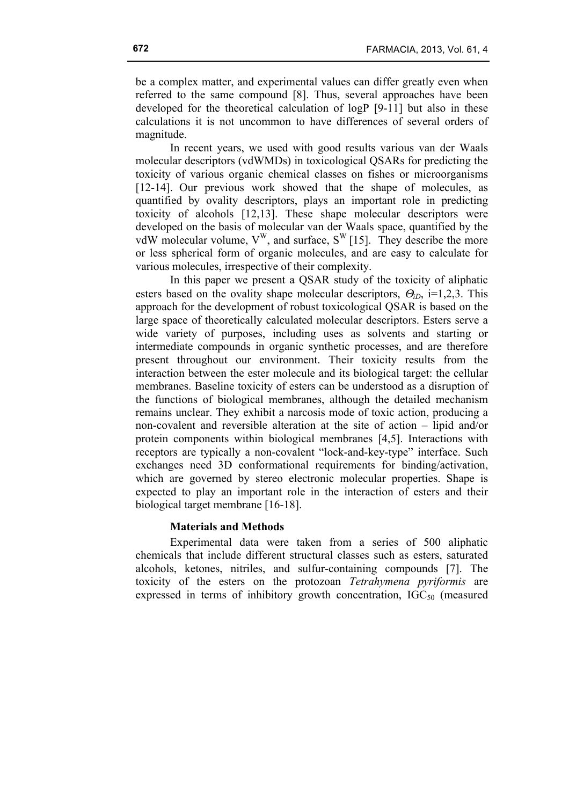be a complex matter, and experimental values can differ greatly even when referred to the same compound [8]. Thus, several approaches have been developed for the theoretical calculation of logP [9-11] but also in these calculations it is not uncommon to have differences of several orders of magnitude.

In recent years, we used with good results various van der Waals molecular descriptors (vdWMDs) in toxicological QSARs for predicting the toxicity of various organic chemical classes on fishes or microorganisms [12-14]. Our previous work showed that the shape of molecules, as quantified by ovality descriptors, plays an important role in predicting toxicity of alcohols [12,13]. These shape molecular descriptors were developed on the basis of molecular van der Waals space, quantified by the vdW molecular volume,  $V^{W}$ , and surface,  $S^{W}$  [15]. They describe the more or less spherical form of organic molecules, and are easy to calculate for various molecules, irrespective of their complexity.

In this paper we present a QSAR study of the toxicity of aliphatic esters based on the ovality shape molecular descriptors, Θ*iD*, i=1,2,3. This approach for the development of robust toxicological QSAR is based on the large space of theoretically calculated molecular descriptors. Esters serve a wide variety of purposes, including uses as solvents and starting or intermediate compounds in organic synthetic processes, and are therefore present throughout our environment. Their toxicity results from the interaction between the ester molecule and its biological target: the cellular membranes. Baseline toxicity of esters can be understood as a disruption of the functions of biological membranes, although the detailed mechanism remains unclear. They exhibit a narcosis mode of toxic action, producing a non-covalent and reversible alteration at the site of action – lipid and/or protein components within biological membranes [4,5]. Interactions with receptors are typically a non-covalent "lock-and-key-type" interface. Such exchanges need 3D conformational requirements for binding/activation, which are governed by stereo electronic molecular properties. Shape is expected to play an important role in the interaction of esters and their biological target membrane [16-18].

# **Materials and Methods**

Experimental data were taken from a series of 500 aliphatic chemicals that include different structural classes such as esters, saturated alcohols, ketones, nitriles, and sulfur-containing compounds [7]. The toxicity of the esters on the protozoan *Tetrahymena pyriformis* are expressed in terms of inhibitory growth concentration,  $IGC_{50}$  (measured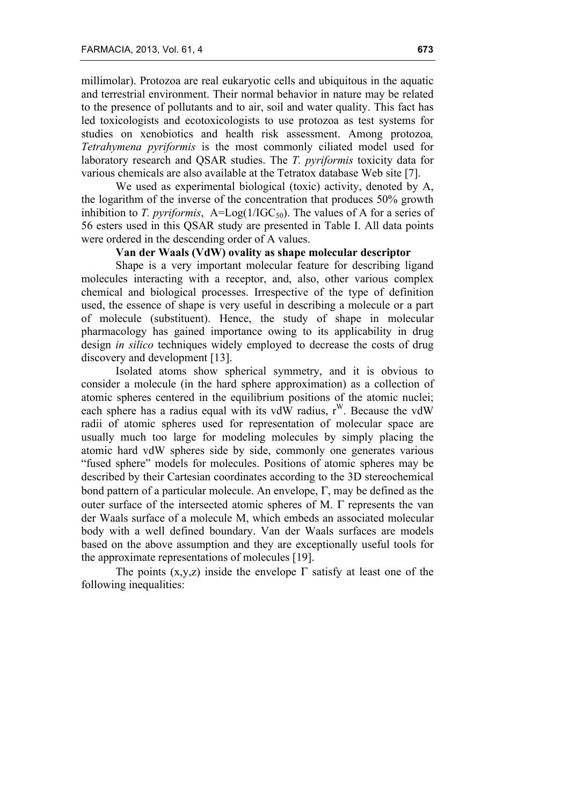millimolar). Protozoa are real eukaryotic cells and ubiquitous in the aquatic and terrestrial environment. Their normal behavior in nature may be related to the presence of pollutants and to air, soil and water quality. This fact has led toxicologists and ecotoxicologists to use protozoa as test systems for studies on xenobiotics and health risk assessment. Among protozoa*, Tetrahymena pyriformis* is the most commonly ciliated model used for laboratory research and QSAR studies. The *T. pyriformis* toxicity data for various chemicals are also available at the Tetratox database Web site [7].

We used as experimental biological (toxic) activity, denoted by A, the logarithm of the inverse of the concentration that produces 50% growth inhibition to *T. pyriformis*,  $A = Log(1/IGC_{50})$ . The values of A for a series of 56 esters used in this QSAR study are presented in Table I. All data points were ordered in the descending order of A values.

## **Van der Waals (VdW) ovality as shape molecular descriptor**

Shape is a very important molecular feature for describing ligand molecules interacting with a receptor, and, also, other various complex chemical and biological processes. Irrespective of the type of definition used, the essence of shape is very useful in describing a molecule or a part of molecule (substituent). Hence, the study of shape in molecular pharmacology has gained importance owing to its applicability in drug design *in silico* techniques widely employed to decrease the costs of drug discovery and development [13].

Isolated atoms show spherical symmetry, and it is obvious to consider a molecule (in the hard sphere approximation) as a collection of atomic spheres centered in the equilibrium positions of the atomic nuclei; each sphere has a radius equal with its vdW radius,  $r^W$ . Because the vdW radii of atomic spheres used for representation of molecular space are usually much too large for modeling molecules by simply placing the atomic hard vdW spheres side by side, commonly one generates various "fused sphere" models for molecules. Positions of atomic spheres may be described by their Cartesian coordinates according to the 3D stereochemical bond pattern of a particular molecule. An envelope, Γ, may be defined as the outer surface of the intersected atomic spheres of M. Γ represents the van der Waals surface of a molecule M, which embeds an associated molecular body with a well defined boundary. Van der Waals surfaces are models based on the above assumption and they are exceptionally useful tools for the approximate representations of molecules [19].

The points  $(x,y,z)$  inside the envelope  $\Gamma$  satisfy at least one of the following inequalities: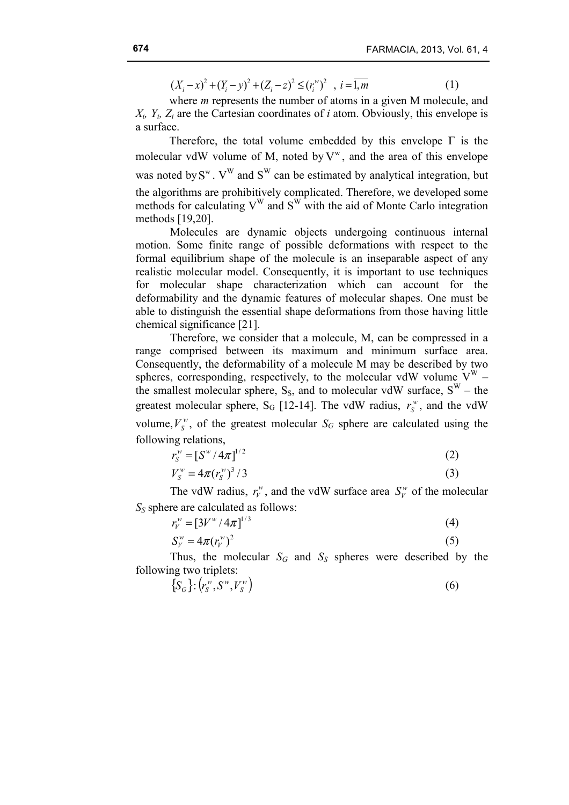$(X_i - x)^2 + (Y_i - y)^2 + (Z_i - z)^2 \le (r_i^{\omega})^2$ ,  $i = \overline{1, m}$  (1)

where *m* represents the number of atoms in a given M molecule, and  $X_i$ ,  $Y_i$ ,  $Z_i$  are the Cartesian coordinates of *i* atom. Obviously, this envelope is a surface.

Therefore, the total volume embedded by this envelope  $\Gamma$  is the molecular vdW volume of M, noted by  $V^w$ , and the area of this envelope was noted by  $S^w$ .  $V^W$  and  $S^W$  can be estimated by analytical integration, but the algorithms are prohibitively complicated. Therefore, we developed some methods for calculating  $V^W$  and  $S^W$  with the aid of Monte Carlo integration methods [19,20].

Molecules are dynamic objects undergoing continuous internal motion. Some finite range of possible deformations with respect to the formal equilibrium shape of the molecule is an inseparable aspect of any realistic molecular model. Consequently, it is important to use techniques for molecular shape characterization which can account for the deformability and the dynamic features of molecular shapes. One must be able to distinguish the essential shape deformations from those having little chemical significance [21].

Therefore, we consider that a molecule, M, can be compressed in a range comprised between its maximum and minimum surface area. Consequently, the deformability of a molecule M may be described by two spheres, corresponding, respectively, to the molecular vdW volume  $V^W$  – the smallest molecular sphere,  $S_s$ , and to molecular vdW surface,  $S^W$  – the greatest molecular sphere,  $S_G$  [12-14]. The vdW radius,  $r_s^{\nu}$ , and the vdW volume,  $V_s^{\text{w}}$ , of the greatest molecular  $S_G$  sphere are calculated using the following relations,

$$
r_S^{\rm w} = [S^{\rm w}/4\pi]^{1/2} \tag{2}
$$

$$
V_S^w = 4\pi (r_S^w)^3 / 3 \tag{3}
$$

The vdW radius,  $r_v^{\nu}$ , and the vdW surface area  $S_v^{\nu}$  of the molecular *S<sub>S</sub>* sphere are calculated as follows:

$$
r_V^{\rm w} = \left[3V^{\rm w}/4\pi\right]^{1/3} \tag{4}
$$

$$
S_V^w = 4\pi (r_V^w)^2 \tag{5}
$$

Thus, the molecular  $S_G$  and  $S_S$  spheres were described by the following two triplets:

$$
\{S_G\} : (r_s^w, S^w, V_s^w) \tag{6}
$$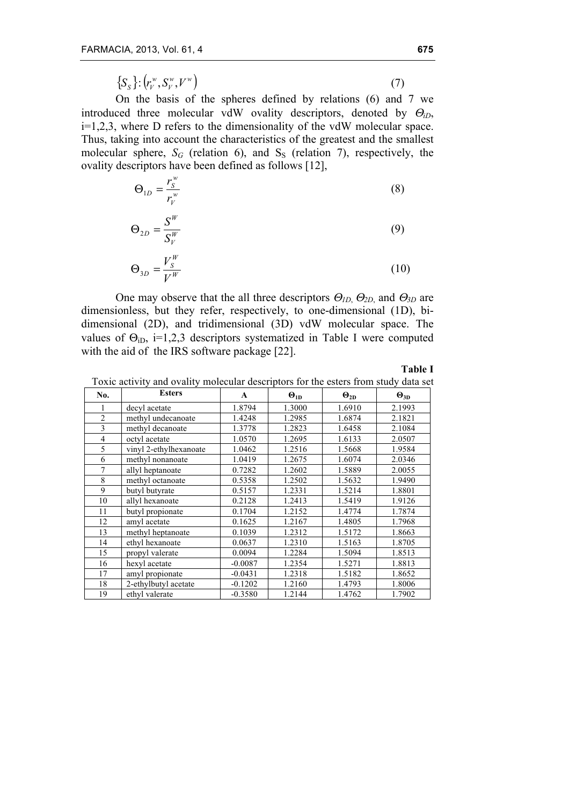$$
\{S_S\} : (r_V^w, S_V^w, V^w) \tag{7}
$$

On the basis of the spheres defined by relations (6) and 7 we introduced three molecular vdW ovality descriptors, denoted by  $\Theta_{iD}$ , i=1,2,3, where D refers to the dimensionality of the vdW molecular space. Thus, taking into account the characteristics of the greatest and the smallest molecular sphere,  $S_G$  (relation 6), and  $S_S$  (relation 7), respectively, the ovality descriptors have been defined as follows [12],

$$
\Theta_{1D} = \frac{r_S^w}{r_V^w} \tag{8}
$$

$$
\Theta_{2D} = \frac{S^W}{S_V^W} \tag{9}
$$

$$
\Theta_{3D} = \frac{V_s^W}{V^W} \tag{10}
$$

One may observe that the all three descriptors Θ*1D*, Θ*2D*, and Θ*3D* are dimensionless, but they refer, respectively, to one-dimensional (1D), bidimensional (2D), and tridimensional (3D) vdW molecular space. The values of  $\Theta_{\text{iD}}$ , i=1,2,3 descriptors systematized in Table I were computed with the aid of the IRS software package [22].

**Table I**

| No.            | <b>Esters</b>          | A         | $\Theta_{1D}$ | $\Theta_{2D}$ | $\Theta_{3D}$ |
|----------------|------------------------|-----------|---------------|---------------|---------------|
| 1              | decyl acetate          | 1.8794    | 1.3000        | 1.6910        | 2.1993        |
| $\overline{c}$ | methyl undecanoate     | 1.4248    | 1.2985        | 1.6874        | 2.1821        |
| 3              | methyl decanoate       | 1.3778    | 1.2823        | 1.6458        | 2.1084        |
| $\overline{4}$ | octyl acetate          | 1.0570    | 1.2695        | 1.6133        | 2.0507        |
| 5              | vinyl 2-ethylhexanoate | 1.0462    | 1.2516        | 1.5668        | 1.9584        |
| 6              | methyl nonanoate       | 1.0419    | 1.2675        | 1.6074        | 2.0346        |
| $\overline{7}$ | allyl heptanoate       | 0.7282    | 1.2602        | 1.5889        | 2.0055        |
| 8              | methyl octanoate       | 0.5358    | 1.2502        | 1.5632        | 1.9490        |
| 9              | butyl butyrate         | 0.5157    | 1.2331        | 1.5214        | 1.8801        |
| 10             | allyl hexanoate        | 0.2128    | 1.2413        | 1.5419        | 1.9126        |
| 11             | butyl propionate       | 0.1704    | 1.2152        | 1.4774        | 1.7874        |
| 12             | amyl acetate           | 0.1625    | 1.2167        | 1.4805        | 1.7968        |
| 13             | methyl heptanoate      | 0.1039    | 1.2312        | 1.5172        | 1.8663        |
| 14             | ethyl hexanoate        | 0.0637    | 1.2310        | 1.5163        | 1.8705        |
| 15             | propyl valerate        | 0.0094    | 1.2284        | 1.5094        | 1.8513        |
| 16             | hexyl acetate          | $-0.0087$ | 1.2354        | 1.5271        | 1.8813        |
| 17             | amyl propionate        | $-0.0431$ | 1.2318        | 1.5182        | 1.8652        |
| 18             | 2-ethylbutyl acetate   | $-0.1202$ | 1.2160        | 1.4793        | 1.8006        |
| 19             | ethyl valerate         | $-0.3580$ | 1.2144        | 1.4762        | 1.7902        |

Toxic activity and ovality molecular descriptors for the esters from study data set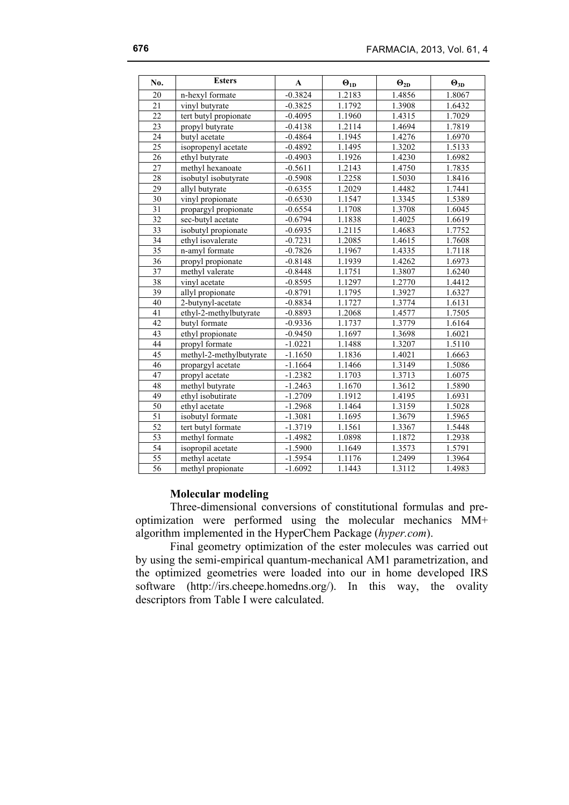| No.             | <b>Esters</b>           | $\mathbf{A}$ | $\Theta_{1D}$ | $\Theta_{2D}$ | $\Theta_{3D}$ |
|-----------------|-------------------------|--------------|---------------|---------------|---------------|
| 20              | n-hexyl formate         | $-0.3824$    | 1.2183        | 1.4856        | 1.8067        |
| 21              | vinyl butyrate          | $-0.3825$    | 1.1792        | 1.3908        | 1.6432        |
| $\overline{22}$ | tert butyl propionate   | $-0.4095$    | 1.1960        | 1.4315        | 1.7029        |
| 23              | propyl butyrate         | $-0.4138$    | 1.2114        | 1.4694        | 1.7819        |
| $\overline{24}$ | butyl acetate           | $-0.4864$    | 1.1945        | 1.4276        | 1.6970        |
| $\overline{25}$ | isopropenyl acetate     | $-0.4892$    | 1.1495        | 1.3202        | 1.5133        |
| 26              | ethyl butyrate          | $-0.4903$    | 1.1926        | 1.4230        | 1.6982        |
| $\overline{27}$ | methyl hexanoate        | $-0.5611$    | 1.2143        | 1.4750        | 1.7835        |
| 28              | isobutyl isobutyrate    | $-0.5908$    | 1.2258        | 1.5030        | 1.8416        |
| $\overline{29}$ | allyl butyrate          | $-0.6355$    | 1.2029        | 1.4482        | 1.7441        |
| 30              | vinyl propionate        | $-0.6530$    | 1.1547        | 1.3345        | 1.5389        |
| 31              | propargyl propionate    | $-0.6554$    | 1.1708        | 1.3708        | 1.6045        |
| 32              | sec-butyl acetate       | $-0.6794$    | 1.1838        | 1.4025        | 1.6619        |
| 33              | isobutyl propionate     | $-0.6935$    | 1.2115        | 1.4683        | 1.7752        |
| 34              | ethyl isovalerate       | $-0.7231$    | 1.2085        | 1.4615        | 1.7608        |
| 35              | n-amyl formate          | $-0.7826$    | 1.1967        | 1.4335        | 1.7118        |
| 36              | propyl propionate       | $-0.8148$    | 1.1939        | 1.4262        | 1.6973        |
| 37              | methyl valerate         | $-0.8448$    | 1.1751        | 1.3807        | 1.6240        |
| $\overline{38}$ | vinyl acetate           | $-0.8595$    | 1.1297        | 1.2770        | 1.4412        |
| 39              | allyl propionate        | $-0.8791$    | 1.1795        | 1.3927        | 1.6327        |
| $\overline{40}$ | 2-butynyl-acetate       | $-0.8834$    | 1.1727        | 1.3774        | 1.6131        |
| 41              | ethyl-2-methylbutyrate  | $-0.8893$    | 1.2068        | 1.4577        | 1.7505        |
| 42              | butyl formate           | $-0.9336$    | 1.1737        | 1.3779        | 1.6164        |
| 43              | ethyl propionate        | $-0.9450$    | 1.1697        | 1.3698        | 1.6021        |
| 44              | propyl formate          | $-1.0221$    | 1.1488        | 1.3207        | 1.5110        |
| 45              | methyl-2-methylbutyrate | $-1.1650$    | 1.1836        | 1.4021        | 1.6663        |
| 46              | propargyl acetate       | $-1.1664$    | 1.1466        | 1.3149        | 1.5086        |
| 47              | propyl acetate          | $-1.2382$    | 1.1703        | 1.3713        | 1.6075        |
| 48              | methyl butyrate         | $-1.2463$    | 1.1670        | 1.3612        | 1.5890        |
| 49              | ethyl isobutirate       | $-1.2709$    | 1.1912        | 1.4195        | 1.6931        |
| 50              | ethyl acetate           | $-1.2968$    | 1.1464        | 1.3159        | 1.5028        |
| 51              | isobutyl formate        | $-1.3081$    | 1.1695        | 1.3679        | 1.5965        |
| $\overline{52}$ | tert butyl formate      | $-1.3719$    | 1.1561        | 1.3367        | 1.5448        |
| $\overline{53}$ | methyl formate          | $-1.4982$    | 1.0898        | 1.1872        | 1.2938        |
| 54              | isopropil acetate       | $-1.5900$    | 1.1649        | 1.3573        | 1.5791        |
| $\overline{55}$ | methyl acetate          | $-1.5954$    | 1.1176        | 1.2499        | 1.3964        |
| 56              | methyl propionate       | $-1.6092$    | 1.1443        | 1.3112        | 1.4983        |

## **Molecular modeling**

Three-dimensional conversions of constitutional formulas and preoptimization were performed using the molecular mechanics MM+ algorithm implemented in the HyperChem Package (*hyper.com*).

Final geometry optimization of the ester molecules was carried out by using the semi-empirical quantum-mechanical AM1 parametrization, and the optimized geometries were loaded into our in home developed IRS software (http://irs.cheepe.homedns.org/). In this way, the ovality descriptors from Table I were calculated.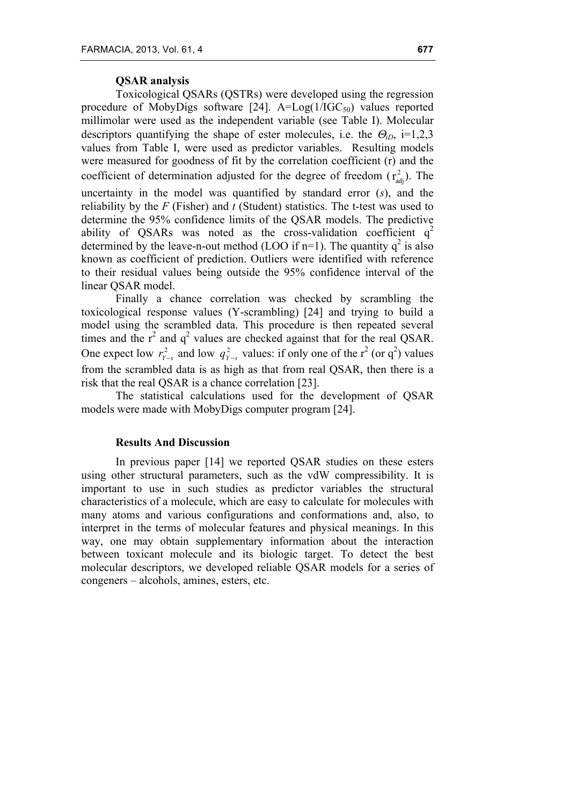# **QSAR analysis**

Toxicological QSARs (QSTRs) were developed using the regression procedure of MobyDigs software  $[24]$ . A=Log( $1/IGC_{50}$ ) values reported millimolar were used as the independent variable (see Table I). Molecular descriptors quantifying the shape of ester molecules, i.e. the  $\Theta_{iD}$ , i=1,2,3 values from Table I, were used as predictor variables. Resulting models were measured for goodness of fit by the correlation coefficient (r) and the coefficient of determination adjusted for the degree of freedom  $(\mathbf{r}_{\text{adj}}^2)$ . The uncertainty in the model was quantified by standard error (*s*), and the reliability by the *F* (Fisher) and *t* (Student) statistics. The t-test was used to determine the 95% confidence limits of the QSAR models. The predictive ability of QSARs was noted as the cross-validation coefficient  $q^2$ determined by the leave-n-out method (LOO if n=1). The quantity  $q^2$  is also known as coefficient of prediction. Outliers were identified with reference to their residual values being outside the 95% confidence interval of the linear QSAR model.

Finally a chance correlation was checked by scrambling the toxicological response values (Y-scrambling) [24] and trying to build a model using the scrambled data. This procedure is then repeated several times and the  $r^2$  and  $q^2$  values are checked against that for the real QSAR. One expect low  $r_{y-s}^2$  and low  $q_{y-s}^2$  values: if only one of the r<sup>2</sup> (or q<sup>2</sup>) values from the scrambled data is as high as that from real QSAR, then there is a risk that the real QSAR is a chance correlation [23].

The statistical calculations used for the development of QSAR models were made with MobyDigs computer program [24].

#### **Results And Discussion**

In previous paper [14] we reported QSAR studies on these esters using other structural parameters, such as the vdW compressibility. It is important to use in such studies as predictor variables the structural characteristics of a molecule, which are easy to calculate for molecules with many atoms and various configurations and conformations and, also, to interpret in the terms of molecular features and physical meanings. In this way, one may obtain supplementary information about the interaction between toxicant molecule and its biologic target. To detect the best molecular descriptors, we developed reliable QSAR models for a series of congeners – alcohols, amines, esters, etc.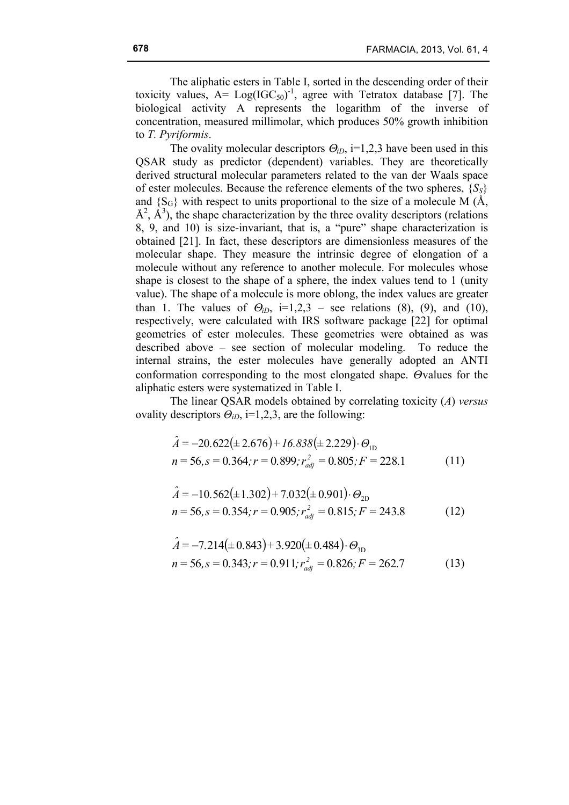The aliphatic esters in Table I, sorted in the descending order of their toxicity values,  $A = Log(IGC_{50})^{-1}$ , agree with Tetratox database [7]. The biological activity A represents the logarithm of the inverse of concentration, measured millimolar, which produces 50% growth inhibition to *T. Pyriformis*.

The ovality molecular descriptors  $\Theta_{i}$ , i=1,2,3 have been used in this QSAR study as predictor (dependent) variables. They are theoretically derived structural molecular parameters related to the van der Waals space of ester molecules. Because the reference elements of the two spheres,  $\{S_S\}$ and  $\{S_G\}$  with respect to units proportional to the size of a molecule M ( $\AA$ ,  $\hat{A}^2$ ,  $\hat{A}^3$ ), the shape characterization by the three ovality descriptors (relations 8, 9, and 10) is size-invariant, that is, a "pure" shape characterization is obtained [21]. In fact, these descriptors are dimensionless measures of the molecular shape. They measure the intrinsic degree of elongation of a molecule without any reference to another molecule. For molecules whose shape is closest to the shape of a sphere, the index values tend to 1 (unity value). The shape of a molecule is more oblong, the index values are greater than 1. The values of  $\Theta_{iD}$ , i=1,2,3 – see relations (8), (9), and (10), respectively, were calculated with IRS software package [22] for optimal geometries of ester molecules. These geometries were obtained as was described above – see section of molecular modeling. To reduce the internal strains, the ester molecules have generally adopted an ANTI conformation corresponding to the most elongated shape. Θvalues for the aliphatic esters were systematized in Table I.

The linear QSAR models obtained by correlating toxicity (*A*) *versus* ovality descriptors  $\Theta_{iD}$ , i=1,2,3, are the following:

$$
\hat{A} = -20.622(\pm 2.676) + 16.838(\pm 2.229) \cdot \Theta_{1D}
$$
  
n = 56, s = 0.364; r = 0.899;  $r_{adj}^2 = 0.805$ ; F = 228.1 (11)

$$
\hat{A} = -10.562(\pm 1.302) + 7.032(\pm 0.901) \cdot \Theta_{2D}
$$
  
n = 56, s = 0.354; r = 0.905;  $r_{adj}^2 = 0.815$ ; F = 243.8 (12)

$$
\hat{A} = -7.214(\pm 0.843) + 3.920(\pm 0.484) \cdot \Theta_{3D}
$$
  
n = 56, s = 0.343; r = 0.911;  $r_{adj}^2 = 0.826$ ; F = 262.7 (13)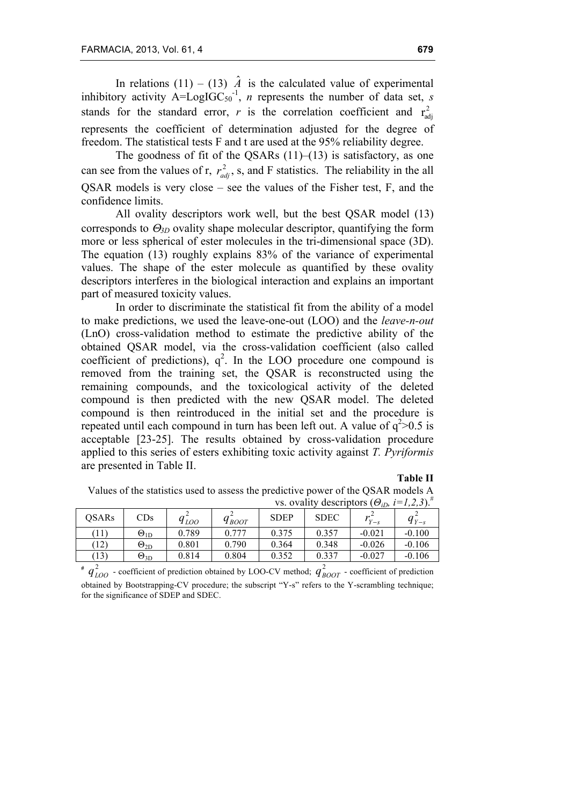In relations (11) – (13)  $\hat{A}$  is the calculated value of experimental inhibitory activity  $A = LogIGC_{50}^{-1}$ , *n* represents the number of data set, *s* stands for the standard error, *r* is the correlation coefficient and  $r_{\text{adj}}^2$ represents the coefficient of determination adjusted for the degree of freedom. The statistical tests F and t are used at the 95% reliability degree.

The goodness of fit of the QSARs  $(11)$ – $(13)$  is satisfactory, as one can see from the values of r,  $r_{adj}^2$ , s, and F statistics. The reliability in the all QSAR models is very close – see the values of the Fisher test, F, and the confidence limits.

All ovality descriptors work well, but the best QSAR model (13) corresponds to Θ*3D* ovality shape molecular descriptor, quantifying the form more or less spherical of ester molecules in the tri-dimensional space (3D). The equation (13) roughly explains 83% of the variance of experimental values. The shape of the ester molecule as quantified by these ovality descriptors interferes in the biological interaction and explains an important part of measured toxicity values.

In order to discriminate the statistical fit from the ability of a model to make predictions, we used the leave-one-out (LOO) and the *leave-n-out* (LnO) cross-validation method to estimate the predictive ability of the obtained QSAR model, via the cross-validation coefficient (also called coefficient of predictions),  $q^2$ . In the LOO procedure one compound is removed from the training set, the QSAR is reconstructed using the remaining compounds, and the toxicological activity of the deleted compound is then predicted with the new QSAR model. The deleted compound is then reintroduced in the initial set and the procedure is repeated until each compound in turn has been left out. A value of  $q^2$  > 0.5 is acceptable [23-25]. The results obtained by cross-validation procedure applied to this series of esters exhibiting toxic activity against *T. Pyriformis* are presented in Table II.

#### **Table II**

Values of the statistics used to assess the predictive power of the QSAR models A vs. ovality descriptors  $(\Theta_{iD}, i=1,2,3)$ .<sup>#</sup>

| <b>OSARs</b> | CDs                  | 9 LOO | $q_{\text{BOOT}}$ | <b>SDEP</b> | <b>SDEC</b> | $Y-S$    | $q_{Y-s}$ |
|--------------|----------------------|-------|-------------------|-------------|-------------|----------|-----------|
| (11)         | $\Theta_\mathrm{1D}$ | 0.789 | 0.777             | 0.375       | 0.357       | $-0.021$ | $-0.100$  |
| $12^{\circ}$ | $\Theta_\mathrm{2D}$ | 0.801 | 0.790             | 0.364       | 0.348       | $-0.026$ | $-0.106$  |
| (13)         | $\Theta_{\rm 3D}$    | 0.814 | 0.804             | 0.352       | 0.337       | $-0.027$ | $-0.106$  |

#  $q_{LOO}^2$  - coefficient of prediction obtained by LOO-CV method;  $q_{BOOT}^2$  - coefficient of prediction obtained by Bootstrapping-CV procedure; the subscript "Y-s" refers to the Y-scrambling technique; for the significance of SDEP and SDEC.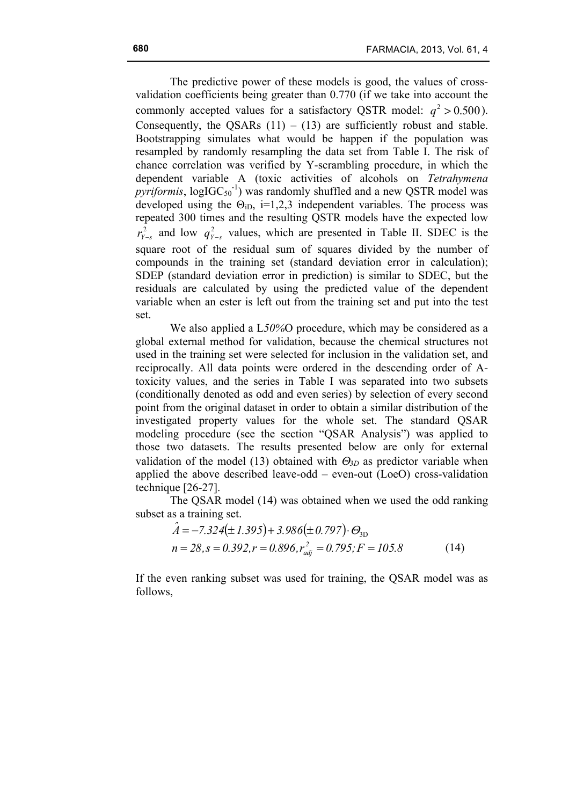The predictive power of these models is good, the values of crossvalidation coefficients being greater than 0.770 (if we take into account the commonly accepted values for a satisfactory QSTR model:  $q^2 > 0.500$ ). Consequently, the OSARs  $(11) - (13)$  are sufficiently robust and stable. Bootstrapping simulates what would be happen if the population was resampled by randomly resampling the data set from Table I. The risk of chance correlation was verified by Y-scrambling procedure, in which the dependent variable A (toxic activities of alcohols on *Tetrahymena*   $pyriformis$ ,  $logIGC<sub>50</sub><sup>-1</sup>$ ) was randomly shuffled and a new QSTR model was developed using the  $\Theta_{iD}$ , i=1,2,3 independent variables. The process was repeated 300 times and the resulting QSTR models have the expected low  $r_{y-s}^2$  and low  $q_{y-s}^2$  values, which are presented in Table II. SDEC is the square root of the residual sum of squares divided by the number of compounds in the training set (standard deviation error in calculation); SDEP (standard deviation error in prediction) is similar to SDEC, but the residuals are calculated by using the predicted value of the dependent variable when an ester is left out from the training set and put into the test set.

We also applied a L*50%*O procedure, which may be considered as a global external method for validation, because the chemical structures not used in the training set were selected for inclusion in the validation set, and reciprocally. All data points were ordered in the descending order of Atoxicity values, and the series in Table I was separated into two subsets (conditionally denoted as odd and even series) by selection of every second point from the original dataset in order to obtain a similar distribution of the investigated property values for the whole set. The standard QSAR modeling procedure (see the section "QSAR Analysis") was applied to those two datasets. The results presented below are only for external validation of the model (13) obtained with  $\Theta_{3D}$  as predictor variable when applied the above described leave-odd – even-out (LoeO) cross-validation technique [26-27].

The QSAR model (14) was obtained when we used the odd ranking subset as a training set.

$$
\hat{A} = -7.324(\pm 1.395) + 3.986(\pm 0.797) \cdot \Theta_{3D}
$$
  
\n
$$
n = 28, s = 0.392, r = 0.896, r_{adj}^{2} = 0.795; F = 105.8
$$
 (14)

If the even ranking subset was used for training, the QSAR model was as follows,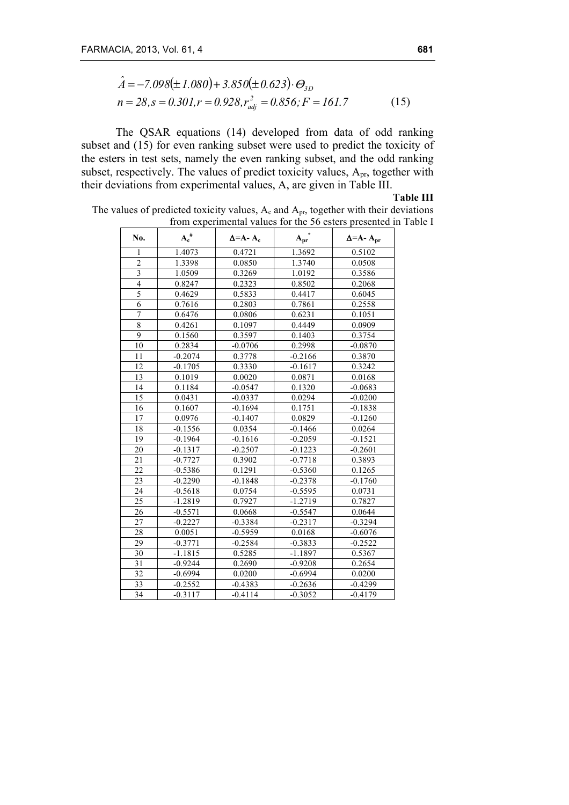$$
\hat{A} = -7.098(\pm 1.080) + 3.850(\pm 0.623) \cdot \Theta_{3D}
$$
  
\n
$$
n = 28, s = 0.301, r = 0.928, r_{adj}^2 = 0.856; F = 161.7
$$
\n(15)

The QSAR equations (14) developed from data of odd ranking subset and (15) for even ranking subset were used to predict the toxicity of the esters in test sets, namely the even ranking subset, and the odd ranking subset, respectively. The values of predict toxicity values, Apr, together with their deviations from experimental values, A, are given in Table III.

**Table III**

The values of predicted toxicity values,  $A_c$  and  $A_{pr}$ , together with their deviations from experimental values for the 56 esters presented in Table I

| No.                     | $A_c^{\#}$ | $\Delta = A - A_c$ | $A_{pr}^*$ | $\Delta = A - A_{pr}$ |
|-------------------------|------------|--------------------|------------|-----------------------|
| 1                       | 1.4073     | 0.4721             | 1.3692     | 0.5102                |
| $\overline{2}$          | 1.3398     | 0.0850             | 1.3740     | 0.0508                |
| $\overline{\mathbf{3}}$ | 1.0509     | 0.3269             | 1.0192     | 0.3586                |
| $\overline{4}$          | 0.8247     | 0.2323             | 0.8502     | 0.2068                |
| $\overline{5}$          | 0.4629     | 0.5833             | 0.4417     | 0.6045                |
| 6                       | 0.7616     | 0.2803             | 0.7861     | 0.2558                |
| 7                       | 0.6476     | 0.0806             | 0.6231     | 0.1051                |
| 8                       | 0.4261     | 0.1097             | 0.4449     | 0.0909                |
| 9                       | 0.1560     | 0.3597             | 0.1403     | 0.3754                |
| 10                      | 0.2834     | $-0.0706$          | 0.2998     | $-0.0870$             |
| 11                      | $-0.2074$  | 0.3778             | $-0.2166$  | 0.3870                |
| 12                      | $-0.1705$  | 0.3330             | $-0.1617$  | 0.3242                |
| 13                      | 0.1019     | 0.0020             | 0.0871     | 0.0168                |
| 14                      | 0.1184     | $-0.0547$          | 0.1320     | $-0.0683$             |
| 15                      | 0.0431     | $-0.0337$          | 0.0294     | $-0.0200$             |
| 16                      | 0.1607     | $-0.1694$          | 0.1751     | $-0.1838$             |
| 17                      | 0.0976     | $-0.1407$          | 0.0829     | $-0.1260$             |
| 18                      | $-0.1556$  | 0.0354             | $-0.1466$  | 0.0264                |
| 19                      | $-0.1964$  | $-0.1616$          | $-0.2059$  | $-0.1521$             |
| 20                      | $-0.1317$  | $-0.2507$          | $-0.1223$  | $-0.2601$             |
| 21                      | $-0.7727$  | 0.3902             | $-0.7718$  | 0.3893                |
| 22                      | $-0.5386$  | 0.1291             | $-0.5360$  | 0.1265                |
| 23                      | $-0.2290$  | $-0.1848$          | $-0.2378$  | $-0.1760$             |
| 24                      | $-0.5618$  | 0.0754             | $-0.5595$  | 0.0731                |
| 25                      | $-1.2819$  | 0.7927             | $-1.2719$  | 0.7827                |
| 26                      | $-0.5571$  | 0.0668             | $-0.5547$  | 0.0644                |
| 27                      | $-0.2227$  | $-0.3384$          | $-0.2317$  | $-0.3294$             |
| 28                      | 0.0051     | $-0.5959$          | 0.0168     | $-0.6076$             |
| 29                      | $-0.3771$  | $-0.2584$          | $-0.3833$  | $-0.2522$             |
| 30                      | $-1.1815$  | 0.5285             | $-1.1897$  | 0.5367                |
| 31                      | $-0.9244$  | 0.2690             | $-0.9208$  | 0.2654                |
| 32                      | $-0.6994$  | 0.0200             | $-0.6994$  | 0.0200                |
| 33                      | $-0.2552$  | $-0.4383$          | $-0.2636$  | $-0.4299$             |
| 34                      | $-0.3117$  | $-0.4114$          | $-0.3052$  | $-0.4179$             |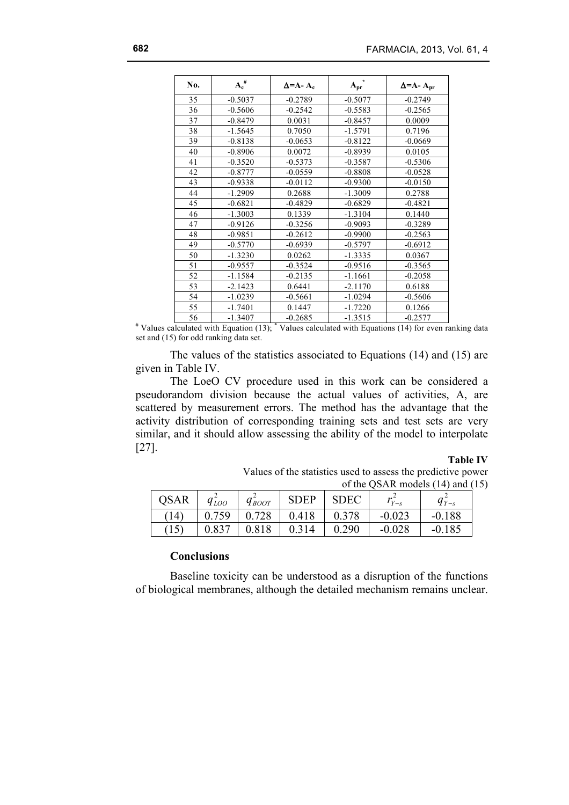| No. | $A_c^{\#}$ | $\Delta = A - A_c$ | $A_{pr}$  | $\Delta = A - A_{pr}$ |
|-----|------------|--------------------|-----------|-----------------------|
| 35  | $-0.5037$  | $-0.2789$          | $-0.5077$ | $-0.2749$             |
| 36  | $-0.5606$  | $-0.2542$          | $-0.5583$ | $-0.2565$             |
| 37  | $-0.8479$  | 0.0031             | $-0.8457$ | 0.0009                |
| 38  | $-1.5645$  | 0.7050             | $-1.5791$ | 0.7196                |
| 39  | $-0.8138$  | $-0.0653$          | $-0.8122$ | $-0.0669$             |
| 40  | $-0.8906$  | 0.0072             | $-0.8939$ | 0.0105                |
| 41  | $-0.3520$  | $-0.5373$          | $-0.3587$ | $-0.5306$             |
| 42  | $-0.8777$  | $-0.0559$          | $-0.8808$ | $-0.0528$             |
| 43  | $-0.9338$  | $-0.0112$          | $-0.9300$ | $-0.0150$             |
| 44  | $-1.2909$  | 0.2688             | $-1.3009$ | 0.2788                |
| 45  | $-0.6821$  | $-0.4829$          | $-0.6829$ | $-0.4821$             |
| 46  | $-1.3003$  | 0.1339             | $-1.3104$ | 0.1440                |
| 47  | $-0.9126$  | $-0.3256$          | $-0.9093$ | $-0.3289$             |
| 48  | $-0.9851$  | $-0.2612$          | $-0.9900$ | $-0.2563$             |
| 49  | $-0.5770$  | $-0.6939$          | $-0.5797$ | $-0.6912$             |
| 50  | $-1.3230$  | 0.0262             | $-1.3335$ | 0.0367                |
| 51  | $-0.9557$  | $-0.3524$          | $-0.9516$ | $-0.3565$             |
| 52  | $-1.1584$  | $-0.2135$          | $-1.1661$ | $-0.2058$             |
| 53  | $-2.1423$  | 0.6441             | $-2.1170$ | 0.6188                |
| 54  | $-1.0239$  | $-0.5661$          | $-1.0294$ | $-0.5606$             |
| 55  | $-1.7401$  | 0.1447             | $-1.7220$ | 0.1266                |
| 56  | $-1.3407$  | $-0.2685$          | $-1.3515$ | $-0.2577$             |

# Values calculated with Equation (13); \* Values calculated with Equations (14) for even ranking data set and (15) for odd ranking data set.

The values of the statistics associated to Equations (14) and (15) are given in Table IV.

The LoeO CV procedure used in this work can be considered a pseudorandom division because the actual values of activities, A, are scattered by measurement errors. The method has the advantage that the activity distribution of corresponding training sets and test sets are very similar, and it should allow assessing the ability of the model to interpolate [27].

### **Table IV**

Values of the statistics used to assess the predictive power of the QSAR models (14) and (15)

| <b>QSAR</b> | 9 <sub>LOO</sub> | $q_{\textit{BoOT}}$ | <b>SDEP</b> | <b>SDEC</b> | $Y - s$  | $q_{Y-s}$ |
|-------------|------------------|---------------------|-------------|-------------|----------|-----------|
| (14)        | 0.759            | 0.728               | 0.418       | 0.378       | $-0.023$ | $-0.188$  |
| (15)        | 0.837            | 0.818               | 0.314       | 0.290       | $-0.028$ | $-0.185$  |

### **Conclusions**

Baseline toxicity can be understood as a disruption of the functions of biological membranes, although the detailed mechanism remains unclear.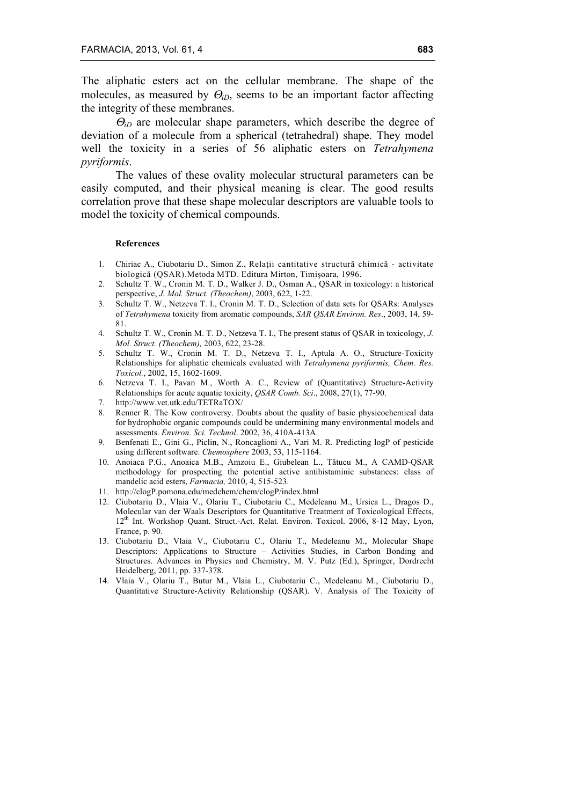The aliphatic esters act on the cellular membrane. The shape of the molecules, as measured by Θ*iD*, seems to be an important factor affecting the integrity of these membranes.

<sup>Θ</sup>*iD* are molecular shape parameters, which describe the degree of deviation of a molecule from a spherical (tetrahedral) shape. They model well the toxicity in a series of 56 aliphatic esters on *Tetrahymena pyriformis*.

The values of these ovality molecular structural parameters can be easily computed, and their physical meaning is clear. The good results correlation prove that these shape molecular descriptors are valuable tools to model the toxicity of chemical compounds.

#### **References**

- 1. Chiriac A., Ciubotariu D., Simon Z., Relaţii cantitative structură chimică activitate biologică (QSAR).Metoda MTD*.* Editura Mirton, Timişoara, 1996.
- 2. Schultz T. W., Cronin M. T. D., Walker J. D., Osman A., QSAR in toxicology: a historical perspective, *J. Mol. Struct. (Theochem)*, 2003, 622, 1-22.
- 3. Schultz T. W., Netzeva T. I., Cronin M. T. D., Selection of data sets for QSARs: Analyses of *Tetrahymena* toxicity from aromatic compounds, *SAR QSAR Environ. Res*., 2003, 14, 59- 81.
- 4. Schultz T. W., Cronin M. T. D., Netzeva T. I., The present status of QSAR in toxicology, *J. Mol. Struct. (Theochem),* 2003, 622, 23-28.
- 5. Schultz T. W., Cronin M. T. D., Netzeva T. I., Aptula A. O., Structure-Toxicity Relationships for aliphatic chemicals evaluated with *Tetrahymena pyriformis, Chem. Res. Toxicol.*, 2002, 15, 1602-1609.
- 6. Netzeva T. I., Pavan M., Worth A. C., Review of (Quantitative) Structure-Activity Relationships for acute aquatic toxicity, *QSAR Comb. Sci*., 2008, 27(1), 77-90.
- 7. http://www.vet.utk.edu/TETRaTOX/
- 8. Renner R. The Kow controversy. Doubts about the quality of basic physicochemical data for hydrophobic organic compounds could be undermining many environmental models and assessments. *Environ. Sci. Technol*. 2002, 36, 410A-413A.
- 9. Benfenati E., Gini G., Piclin, N., Roncaglioni A., Vari M. R. Predicting logP of pesticide using different software. *Chemosphere* 2003, 53, 115-1164.
- 10. Anoiaca P.G., Anoaica M.B., Amzoiu E., Giubelean L., Tătucu M., A CAMD-QSAR methodology for prospecting the potential active antihistaminic substances: class of mandelic acid esters, *Farmacia,* 2010, 4, 515-523.
- 11. http://clogP.pomona.edu/medchem/chem/clogP/index.html
- 12. Ciubotariu D., Vlaia V., Olariu T., Ciubotariu C., Medeleanu M., Ursica L., Dragos D., Molecular van der Waals Descriptors for Quantitative Treatment of Toxicological Effects, 12<sup>th</sup> Int. Workshop Quant. Struct.-Act. Relat. Environ. Toxicol. 2006, 8-12 May, Lyon, France, p. 90.
- 13. Ciubotariu D., Vlaia V., Ciubotariu C., Olariu T., Medeleanu M., Molecular Shape Descriptors: Applications to Structure – Activities Studies, in Carbon Bonding and Structures. Advances in Physics and Chemistry, M. V. Putz (Ed.), Springer, Dordrecht Heidelberg, 2011, pp. 337-378.
- 14. Vlaia V., Olariu T., Butur M., Vlaia L., Ciubotariu C., Medeleanu M., Ciubotariu D., Quantitative Structure-Activity Relationship (QSAR). V. Analysis of The Toxicity of